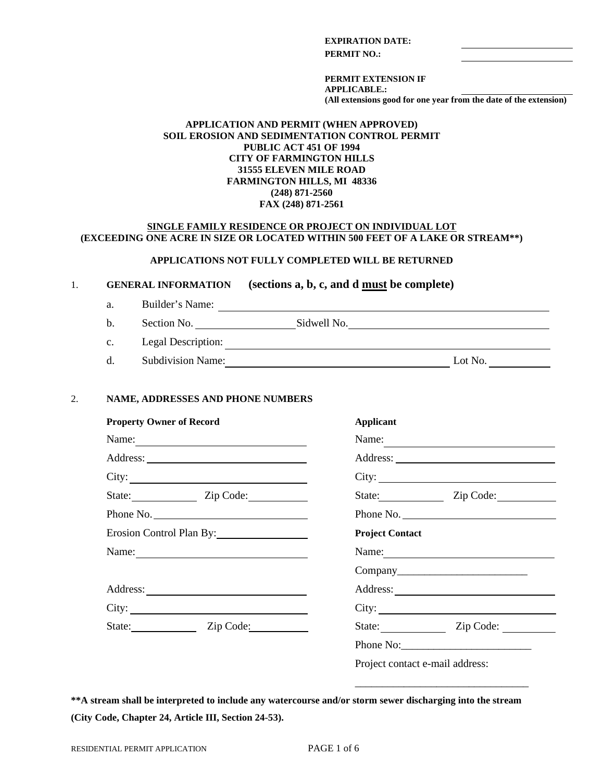### **EXPIRATION DATE:**

**PERMIT NO.:**

**PERMIT EXTENSION IF APPLICABLE.: (All extensions good for one year from the date of the extension)**

#### **APPLICATION AND PERMIT (WHEN APPROVED) SOIL EROSION AND SEDIMENTATION CONTROL PERMIT PUBLIC ACT 451 OF 1994 CITY OF FARMINGTON HILLS 31555 ELEVEN MILE ROAD FARMINGTON HILLS, MI 48336 (248) 871-2560 FAX (248) 871-2561**

### **SINGLE FAMILY RESIDENCE OR PROJECT ON INDIVIDUAL LOT (EXCEEDING ONE ACRE IN SIZE OR LOCATED WITHIN 500 FEET OF A LAKE OR STREAM\*\*)**

### **APPLICATIONS NOT FULLY COMPLETED WILL BE RETURNED**

### 1. **GENERAL INFORMATION (sections a, b, c, and d must be complete)**

- a. Builder's Name:
- b. Section No. Section No. Sidwell No. Sidwell No.
- c. Legal Description:
- d. Subdivision Name: Lot No. Lot No.

#### 2. **NAME, ADDRESSES AND PHONE NUMBERS**

| <b>Property Owner of Record</b> | <b>Applicant</b>                |
|---------------------------------|---------------------------------|
| Name:                           | Name:                           |
|                                 |                                 |
| City:                           |                                 |
| State: Zip Code:                | State: Zip Code:                |
| Phone No.                       | Phone No.                       |
| Erosion Control Plan By:        | <b>Project Contact</b>          |
|                                 |                                 |
|                                 |                                 |
|                                 | Address:                        |
| City:                           |                                 |
| State: Zip Code:                | State: Zip Code:                |
|                                 | Phone No:                       |
|                                 | Project contact e-mail address: |

**\*\*A stream shall be interpreted to include any watercourse and/or storm sewer discharging into the stream (City Code, Chapter 24, Article III, Section 24-53).**

\_\_\_\_\_\_\_\_\_\_\_\_\_\_\_\_\_\_\_\_\_\_\_\_\_\_\_\_\_\_\_\_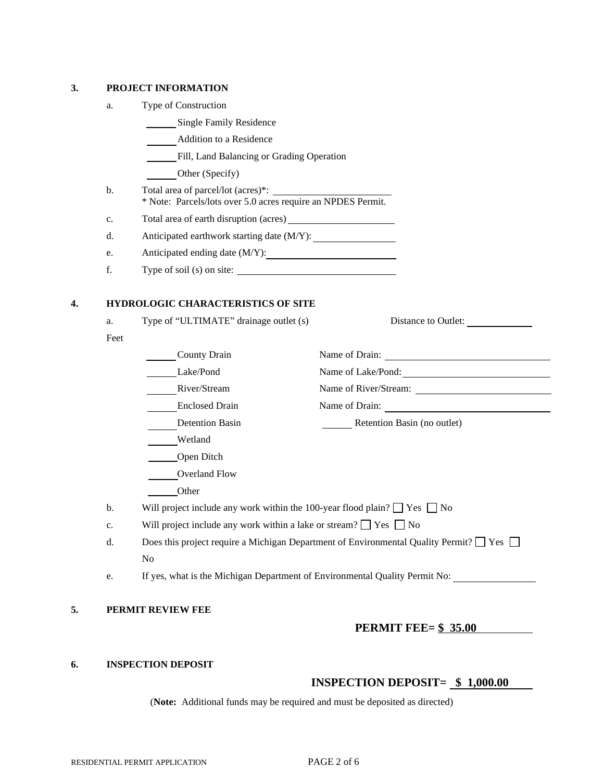#### **3. PROJECT INFORMATION**

- a. Type of Construction
	- **Single Family Residence**
	- Addition to a Residence
	- Fill, Land Balancing or Grading Operation
		- Other (Specify)
- b. Total area of parcel/lot (acres)\*: \_\_ \* Note: Parcels/lots over 5.0 acres require an NPDES Permit.
- c. Total area of earth disruption (acres)
- d. Anticipated earthwork starting date (M/Y):
- e. Anticipated ending date (M/Y):
- f. Type of soil (s) on site:

## **4. HYDROLOGIC CHARACTERISTICS OF SITE**

| a.   | Type of "ULTIMATE" drainage outlet (s)                                                             | Distance to Outlet:         |
|------|----------------------------------------------------------------------------------------------------|-----------------------------|
| Feet |                                                                                                    |                             |
|      | County Drain                                                                                       |                             |
|      | Lake/Pond                                                                                          | Name of Lake/Pond:          |
|      | River/Stream                                                                                       |                             |
|      | <b>Enclosed Drain</b>                                                                              |                             |
|      | <b>Detention Basin</b>                                                                             | Retention Basin (no outlet) |
|      | Wetland                                                                                            |                             |
|      | Open Ditch                                                                                         |                             |
|      | Overland Flow                                                                                      |                             |
|      | Other                                                                                              |                             |
| b.   | Will project include any work within the 100-year flood plain? $\Box$ Yes $\Box$ No                |                             |
| c.   | Will project include any work within a lake or stream? $\Box$ Yes $\Box$ No                        |                             |
| d.   | Does this project require a Michigan Department of Environmental Quality Permit? $\Box$ Yes $\Box$ |                             |
|      | N <sub>o</sub>                                                                                     |                             |
| e.   | If yes, what is the Michigan Department of Environmental Quality Permit No:                        |                             |

## **PERMIT FEE= \$ 35.00**

#### **6. INSPECTION DEPOSIT**

# **INSPECTION DEPOSIT= \$ 1,000.00**

(**Note:** Additional funds may be required and must be deposited as directed)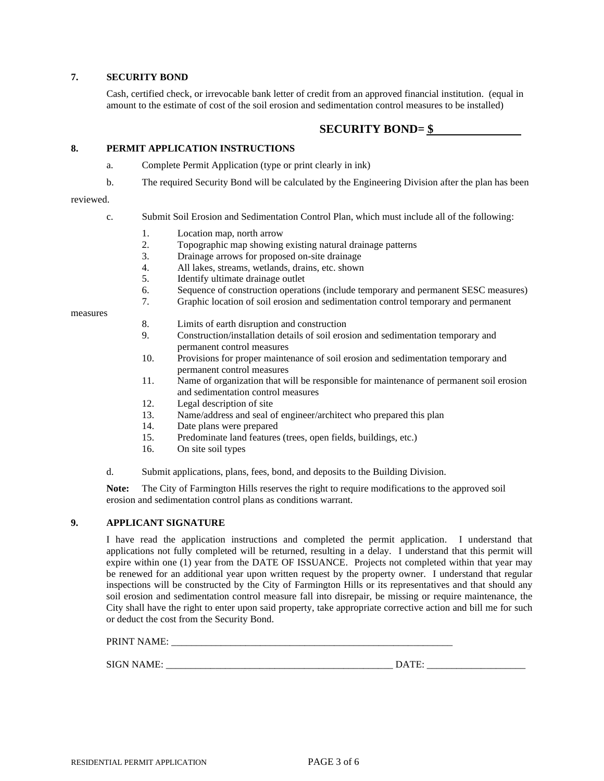#### **7. SECURITY BOND**

Cash, certified check, or irrevocable bank letter of credit from an approved financial institution. (equal in amount to the estimate of cost of the soil erosion and sedimentation control measures to be installed)

## **SECURITY BOND= \$**

#### **8. PERMIT APPLICATION INSTRUCTIONS**

- a. Complete Permit Application (type or print clearly in ink)
- b. The required Security Bond will be calculated by the Engineering Division after the plan has been

#### reviewed.

- c. Submit Soil Erosion and Sedimentation Control Plan, which must include all of the following:
	- 1. Location map, north arrow<br>2. Topographic map showing
	- 2. Topographic map showing existing natural drainage patterns
	- 3. Drainage arrows for proposed on-site drainage
	- 4. All lakes, streams, wetlands, drains, etc. shown
	- 5. Identify ultimate drainage outlet
	- 6. Sequence of construction operations (include temporary and permanent SESC measures)
	- 7. Graphic location of soil erosion and sedimentation control temporary and permanent

measures

- 8. Limits of earth disruption and construction
- 9. Construction/installation details of soil erosion and sedimentation temporary and permanent control measures
- 10. Provisions for proper maintenance of soil erosion and sedimentation temporary and permanent control measures
- 11. Name of organization that will be responsible for maintenance of permanent soil erosion and sedimentation control measures
- 12. Legal description of site
- 13. Name/address and seal of engineer/architect who prepared this plan
- 14. Date plans were prepared
- 15. Predominate land features (trees, open fields, buildings, etc.)
- 16. On site soil types
- d. Submit applications, plans, fees, bond, and deposits to the Building Division.

**Note:** The City of Farmington Hills reserves the right to require modifications to the approved soil erosion and sedimentation control plans as conditions warrant.

#### **9. APPLICANT SIGNATURE**

I have read the application instructions and completed the permit application. I understand that applications not fully completed will be returned, resulting in a delay. I understand that this permit will expire within one (1) year from the DATE OF ISSUANCE. Projects not completed within that year may be renewed for an additional year upon written request by the property owner. I understand that regular inspections will be constructed by the City of Farmington Hills or its representatives and that should any soil erosion and sedimentation control measure fall into disrepair, be missing or require maintenance, the City shall have the right to enter upon said property, take appropriate corrective action and bill me for such or deduct the cost from the Security Bond.

PRINT NAME:

SIGN NAME: \_\_\_\_\_\_\_\_\_\_\_\_\_\_\_\_\_\_\_\_\_\_\_\_\_\_\_\_\_\_\_\_\_\_\_\_\_\_\_\_\_\_\_\_\_\_ DATE: \_\_\_\_\_\_\_\_\_\_\_\_\_\_\_\_\_\_\_\_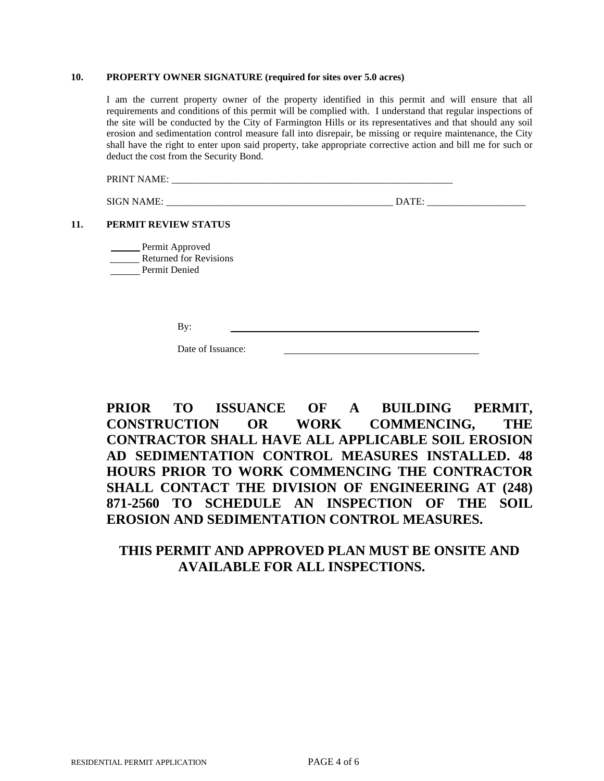#### **10. PROPERTY OWNER SIGNATURE (required for sites over 5.0 acres)**

I am the current property owner of the property identified in this permit and will ensure that all requirements and conditions of this permit will be complied with. I understand that regular inspections of the site will be conducted by the City of Farmington Hills or its representatives and that should any soil erosion and sedimentation control measure fall into disrepair, be missing or require maintenance, the City shall have the right to enter upon said property, take appropriate corrective action and bill me for such or deduct the cost from the Security Bond.

PRINT NAME: \_\_\_\_\_\_\_\_\_\_\_\_\_\_\_\_\_\_\_\_\_\_\_\_\_\_\_\_\_\_\_\_\_\_\_\_\_\_\_\_\_\_\_\_\_\_\_\_\_\_\_\_\_\_\_\_\_

SIGN NAME: \_\_\_\_\_\_\_\_\_\_\_\_\_\_\_\_\_\_\_\_\_\_\_\_\_\_\_\_\_\_\_\_\_\_\_\_\_\_\_\_\_\_\_\_\_\_ DATE: \_\_\_\_\_\_\_\_\_\_\_\_\_\_\_\_\_\_\_\_

#### **11. PERMIT REVIEW STATUS**

Permit Approved Returned for Revisions Permit Denied

By:

Date of Issuance:

**PRIOR TO ISSUANCE OF A BUILDING PERMIT, CONSTRUCTION OR WORK COMMENCING, THE CONTRACTOR SHALL HAVE ALL APPLICABLE SOIL EROSION AD SEDIMENTATION CONTROL MEASURES INSTALLED. 48 HOURS PRIOR TO WORK COMMENCING THE CONTRACTOR SHALL CONTACT THE DIVISION OF ENGINEERING AT (248) 871-2560 TO SCHEDULE AN INSPECTION OF THE SOIL EROSION AND SEDIMENTATION CONTROL MEASURES.**

# **THIS PERMIT AND APPROVED PLAN MUST BE ONSITE AND AVAILABLE FOR ALL INSPECTIONS.**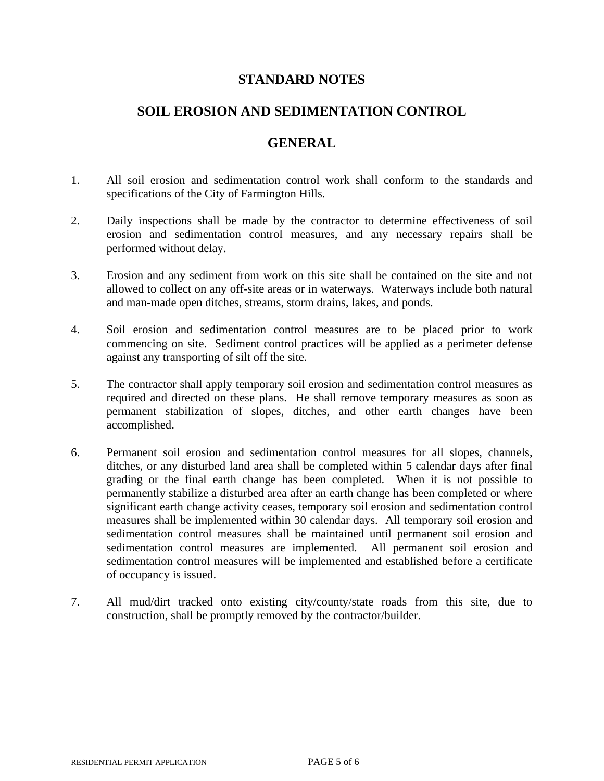# **STANDARD NOTES**

# **SOIL EROSION AND SEDIMENTATION CONTROL**

# **GENERAL**

- 1. All soil erosion and sedimentation control work shall conform to the standards and specifications of the City of Farmington Hills.
- 2. Daily inspections shall be made by the contractor to determine effectiveness of soil erosion and sedimentation control measures, and any necessary repairs shall be performed without delay.
- 3. Erosion and any sediment from work on this site shall be contained on the site and not allowed to collect on any off-site areas or in waterways. Waterways include both natural and man-made open ditches, streams, storm drains, lakes, and ponds.
- 4. Soil erosion and sedimentation control measures are to be placed prior to work commencing on site. Sediment control practices will be applied as a perimeter defense against any transporting of silt off the site.
- 5. The contractor shall apply temporary soil erosion and sedimentation control measures as required and directed on these plans. He shall remove temporary measures as soon as permanent stabilization of slopes, ditches, and other earth changes have been accomplished.
- 6. Permanent soil erosion and sedimentation control measures for all slopes, channels, ditches, or any disturbed land area shall be completed within 5 calendar days after final grading or the final earth change has been completed. When it is not possible to permanently stabilize a disturbed area after an earth change has been completed or where significant earth change activity ceases, temporary soil erosion and sedimentation control measures shall be implemented within 30 calendar days. All temporary soil erosion and sedimentation control measures shall be maintained until permanent soil erosion and sedimentation control measures are implemented. All permanent soil erosion and sedimentation control measures will be implemented and established before a certificate of occupancy is issued.
- 7. All mud/dirt tracked onto existing city/county/state roads from this site, due to construction, shall be promptly removed by the contractor/builder.